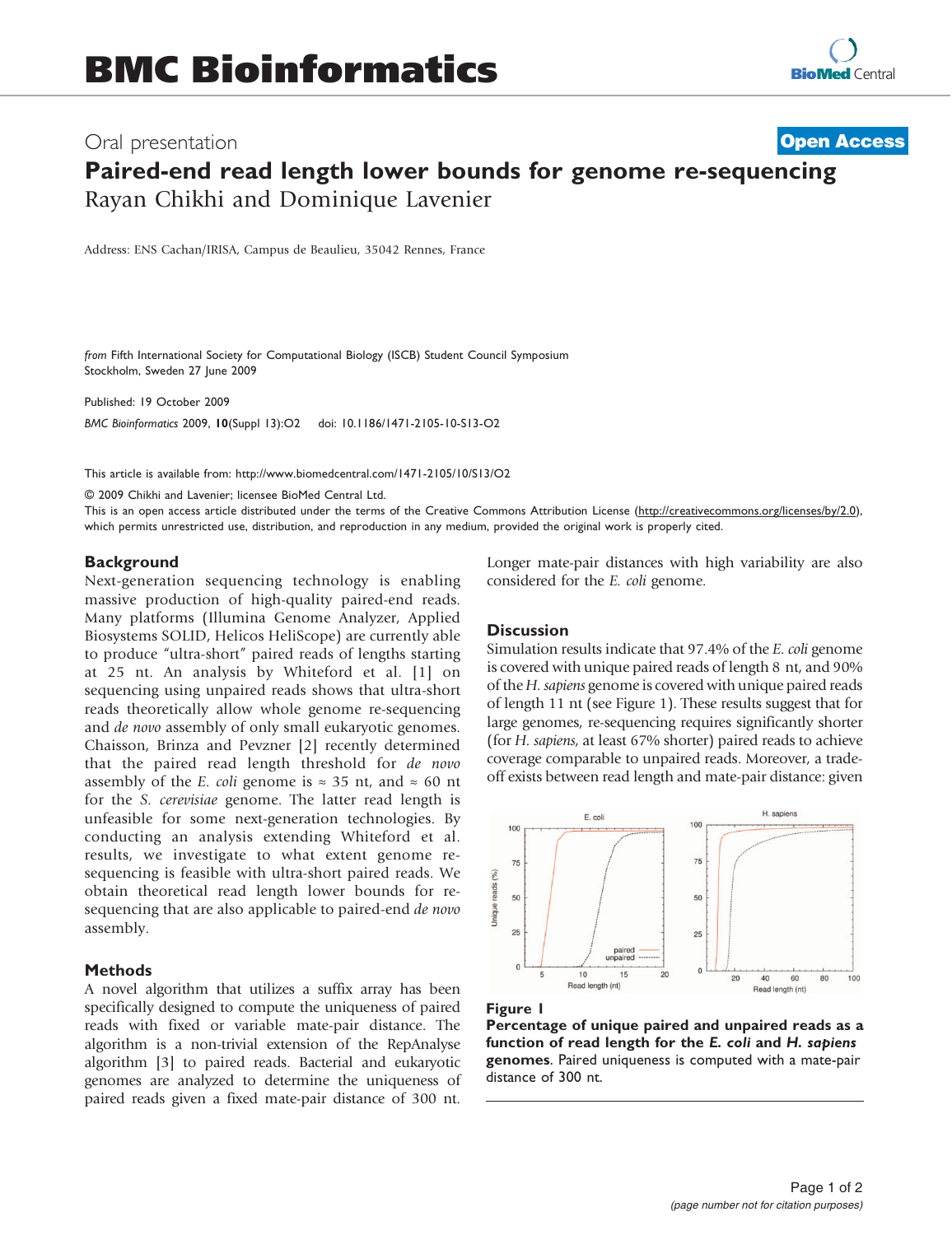# Paired-end read length lower bounds for genome re-sequencing Rayan Chikhi and Dominique Lavenier **[Open Access](http://www.biomedcentral.com/info/about/charter/)**

Address: ENS Cachan/IRISA, Campus de Beaulieu, 35042 Rennes, France

from Fifth International Society for Computational Biology (ISCB) Student Council Symposium Stockholm, Sweden 27 June 2009

Published: 19 October 2009

BMC Bioinformatics 2009, 10(Suppl 13):O2 doi: 10.1186/1471-2105-10-S13-O2

This article is available from: http://www.biomedcentral.com/1471-2105/10/S13/O2

© 2009 Chikhi and Lavenier; licensee BioMed Central Ltd.

This is an open access article distributed under the terms of the Creative Commons Attribution License [\(http://creativecommons.org/licenses/by/2.0\)](http://creativecommons.org/licenses/by/2.0), which permits unrestricted use, distribution, and reproduction in any medium, provided the original work is properly cited.

### **Background**

Next-generation sequencing technology is enabling massive production of high-quality paired-end reads. Many platforms (Illumina Genome Analyzer, Applied Biosystems SOLID, Helicos HeliScope) are currently able to produce "ultra-short" paired reads of lengths starting at 25 nt. An analysis by Whiteford et al. [[1\]](#page-1-0) on sequencing using unpaired reads shows that ultra-short reads theoretically allow whole genome re-sequencing and de novo assembly of only small eukaryotic genomes. Chaisson, Brinza and Pevzner [[2](#page-1-0)] recently determined that the paired read length threshold for de novo assembly of the E. coli genome is  $\approx$  35 nt, and  $\approx$  60 nt for the S. cerevisiae genome. The latter read length is unfeasible for some next-generation technologies. By conducting an analysis extending Whiteford et al. results, we investigate to what extent genome resequencing is feasible with ultra-short paired reads. We obtain theoretical read length lower bounds for resequencing that are also applicable to paired-end de novo assembly.

## Methods

A novel algorithm that utilizes a suffix array has been specifically designed to compute the uniqueness of paired reads with fixed or variable mate-pair distance. The algorithm is a non-trivial extension of the RepAnalyse algorithm [\[3\]](#page-1-0) to paired reads. Bacterial and eukaryotic genomes are analyzed to determine the uniqueness of paired reads given a fixed mate-pair distance of 300 nt.

Longer mate-pair distances with high variability are also considered for the E. coli genome.

#### **Discussion**

Simulation results indicate that 97.4% of the E. coli genome is covered with unique paired reads of length 8 nt, and 90% of the H. sapiens genome is covered with unique paired reads of length 11 nt (see Figure 1). These results suggest that for large genomes, re-sequencing requires significantly shorter (for H. sapiens, at least 67% shorter) paired reads to achieve coverage comparable to unpaired reads. Moreover, a tradeoff exists between read length and mate-pair distance: given





Percentage of unique paired and unpaired reads as a function of read length for the E. coli and H. sapiens genomes. Paired uniqueness is computed with a mate-pair distance of 300 nt.